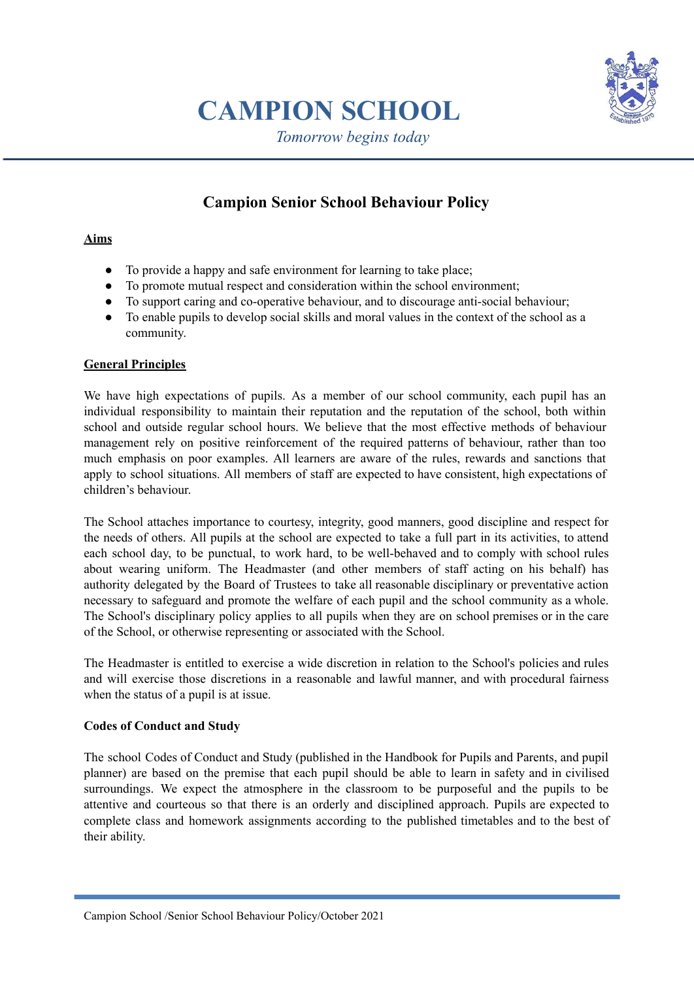

# **CAMPION SCHOOL**

*Tomorrow begins today*

# **Campion Senior School Behaviour Policy**

# **Aims**

- To provide a happy and safe environment for learning to take place;
- To promote mutual respect and consideration within the school environment;
- To support caring and co-operative behaviour, and to discourage anti-social behaviour;
- To enable pupils to develop social skills and moral values in the context of the school as a community.

# **General Principles**

We have high expectations of pupils. As a member of our school community, each pupil has an individual responsibility to maintain their reputation and the reputation of the school, both within school and outside regular school hours. We believe that the most effective methods of behaviour management rely on positive reinforcement of the required patterns of behaviour, rather than too much emphasis on poor examples. All learners are aware of the rules, rewards and sanctions that apply to school situations. All members of staff are expected to have consistent, high expectations of children's behaviour.

The School attaches importance to courtesy, integrity, good manners, good discipline and respect for the needs of others. All pupils at the school are expected to take a full part in its activities, to attend each school day, to be punctual, to work hard, to be well-behaved and to comply with school rules about wearing uniform. The Headmaster (and other members of staff acting on his behalf) has authority delegated by the Board of Trustees to take all reasonable disciplinary or preventative action necessary to safeguard and promote the welfare of each pupil and the school community as a whole. The School's disciplinary policy applies to all pupils when they are on school premises or in the care of the School, or otherwise representing or associated with the School.

The Headmaster is entitled to exercise a wide discretion in relation to the School's policies and rules and will exercise those discretions in a reasonable and lawful manner, and with procedural fairness when the status of a pupil is at issue.

# **Codes of Conduct and Study**

The school Codes of Conduct and Study (published in the Handbook for Pupils and Parents, and pupil planner) are based on the premise that each pupil should be able to learn in safety and in civilised surroundings. We expect the atmosphere in the classroom to be purposeful and the pupils to be attentive and courteous so that there is an orderly and disciplined approach. Pupils are expected to complete class and homework assignments according to the published timetables and to the best of their ability.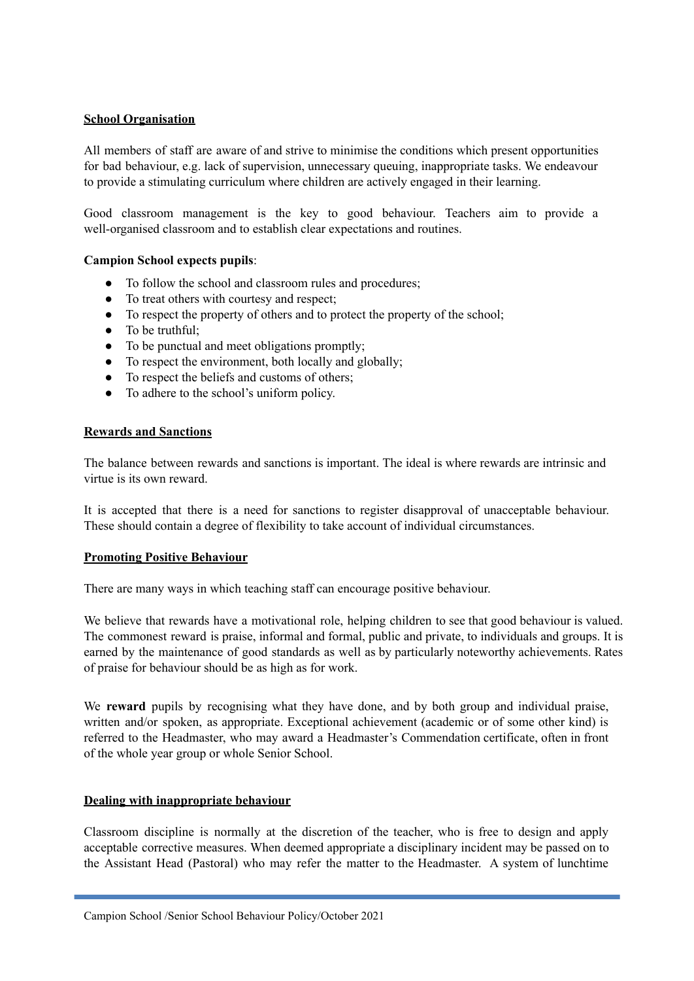## **School Organisation**

All members of staff are aware of and strive to minimise the conditions which present opportunities for bad behaviour, e.g. lack of supervision, unnecessary queuing, inappropriate tasks. We endeavour to provide a stimulating curriculum where children are actively engaged in their learning.

Good classroom management is the key to good behaviour. Teachers aim to provide a well-organised classroom and to establish clear expectations and routines.

## **Campion School expects pupils**:

- To follow the school and classroom rules and procedures;
- To treat others with courtesy and respect;
- To respect the property of others and to protect the property of the school;
- To be truthful:
- To be punctual and meet obligations promptly;
- To respect the environment, both locally and globally;
- To respect the beliefs and customs of others;
- To adhere to the school's uniform policy.

#### **Rewards and Sanctions**

The balance between rewards and sanctions is important. The ideal is where rewards are intrinsic and virtue is its own reward.

It is accepted that there is a need for sanctions to register disapproval of unacceptable behaviour. These should contain a degree of flexibility to take account of individual circumstances.

#### **Promoting Positive Behaviour**

There are many ways in which teaching staff can encourage positive behaviour.

We believe that rewards have a motivational role, helping children to see that good behaviour is valued. The commonest reward is praise, informal and formal, public and private, to individuals and groups. It is earned by the maintenance of good standards as well as by particularly noteworthy achievements. Rates of praise for behaviour should be as high as for work.

We **reward** pupils by recognising what they have done, and by both group and individual praise, written and/or spoken, as appropriate. Exceptional achievement (academic or of some other kind) is referred to the Headmaster, who may award a Headmaster's Commendation certificate, often in front of the whole year group or whole Senior School.

#### **Dealing with inappropriate behaviour**

Classroom discipline is normally at the discretion of the teacher, who is free to design and apply acceptable corrective measures. When deemed appropriate a disciplinary incident may be passed on to the Assistant Head (Pastoral) who may refer the matter to the Headmaster. A system of lunchtime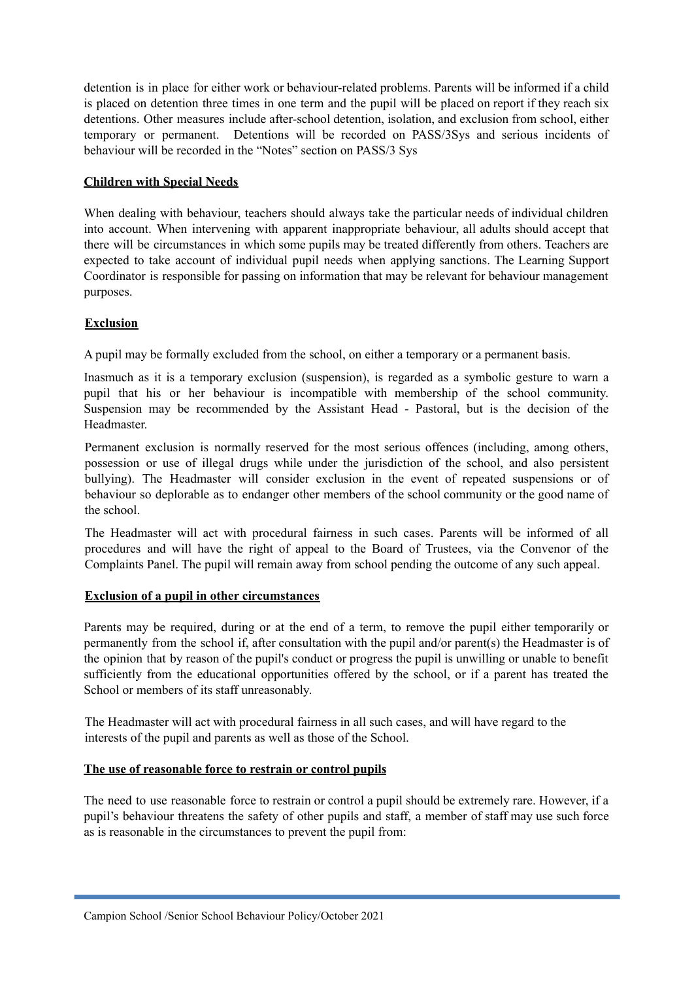detention is in place for either work or behaviour-related problems. Parents will be informed if a child is placed on detention three times in one term and the pupil will be placed on report if they reach six detentions. Other measures include after-school detention, isolation, and exclusion from school, either temporary or permanent. Detentions will be recorded on PASS/3Sys and serious incidents of behaviour will be recorded in the "Notes" section on PASS/3 Sys

# **Children with Special Needs**

When dealing with behaviour, teachers should always take the particular needs of individual children into account. When intervening with apparent inappropriate behaviour, all adults should accept that there will be circumstances in which some pupils may be treated differently from others. Teachers are expected to take account of individual pupil needs when applying sanctions. The Learning Support Coordinator is responsible for passing on information that may be relevant for behaviour management purposes.

# **Exclusion**

A pupil may be formally excluded from the school, on either a temporary or a permanent basis.

Inasmuch as it is a temporary exclusion (suspension), is regarded as a symbolic gesture to warn a pupil that his or her behaviour is incompatible with membership of the school community. Suspension may be recommended by the Assistant Head - Pastoral, but is the decision of the Headmaster.

Permanent exclusion is normally reserved for the most serious offences (including, among others, possession or use of illegal drugs while under the jurisdiction of the school, and also persistent bullying). The Headmaster will consider exclusion in the event of repeated suspensions or of behaviour so deplorable as to endanger other members of the school community or the good name of the school.

The Headmaster will act with procedural fairness in such cases. Parents will be informed of all procedures and will have the right of appeal to the Board of Trustees, via the Convenor of the Complaints Panel. The pupil will remain away from school pending the outcome of any such appeal.

# **Exclusion of a pupil in other circumstances**

Parents may be required, during or at the end of a term, to remove the pupil either temporarily or permanently from the school if, after consultation with the pupil and/or parent(s) the Headmaster is of the opinion that by reason of the pupil's conduct or progress the pupil is unwilling or unable to benefit sufficiently from the educational opportunities offered by the school, or if a parent has treated the School or members of its staff unreasonably.

The Headmaster will act with procedural fairness in all such cases, and will have regard to the interests of the pupil and parents as well as those of the School.

#### **The use of reasonable force to restrain or control pupils**

The need to use reasonable force to restrain or control a pupil should be extremely rare. However, if a pupil's behaviour threatens the safety of other pupils and staff, a member of staff may use such force as is reasonable in the circumstances to prevent the pupil from: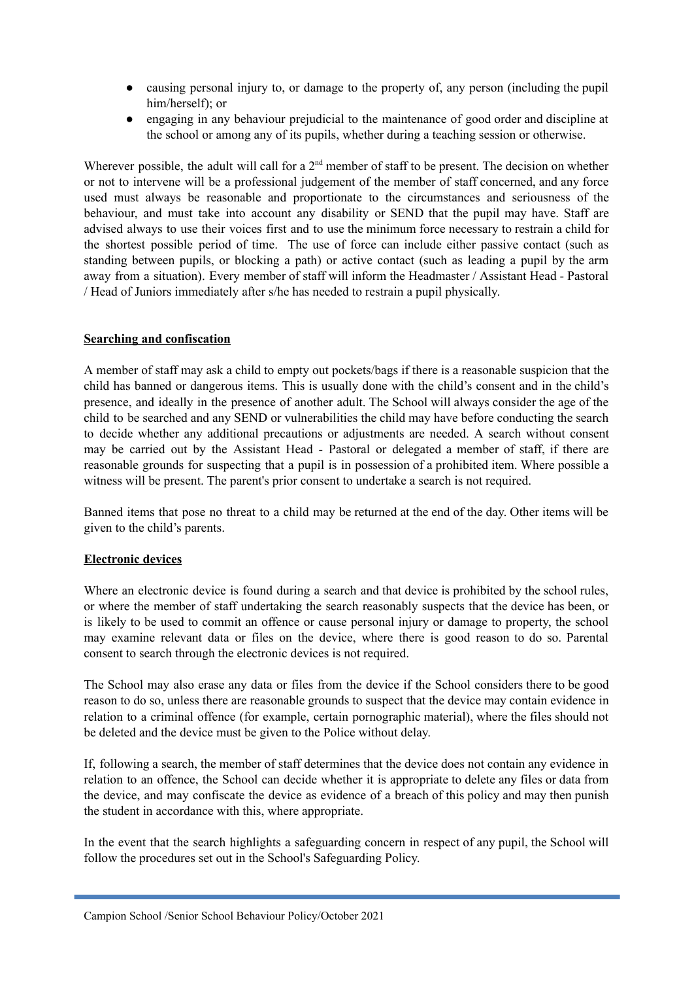- causing personal injury to, or damage to the property of, any person (including the pupil him/herself); or
- engaging in any behaviour prejudicial to the maintenance of good order and discipline at the school or among any of its pupils, whether during a teaching session or otherwise.

Wherever possible, the adult will call for a  $2<sup>nd</sup>$  member of staff to be present. The decision on whether or not to intervene will be a professional judgement of the member of staff concerned, and any force used must always be reasonable and proportionate to the circumstances and seriousness of the behaviour, and must take into account any disability or SEND that the pupil may have. Staff are advised always to use their voices first and to use the minimum force necessary to restrain a child for the shortest possible period of time. The use of force can include either passive contact (such as standing between pupils, or blocking a path) or active contact (such as leading a pupil by the arm away from a situation). Every member of staff will inform the Headmaster / Assistant Head - Pastoral / Head of Juniors immediately after s/he has needed to restrain a pupil physically.

## **Searching and confiscation**

A member of staff may ask a child to empty out pockets/bags if there is a reasonable suspicion that the child has banned or dangerous items. This is usually done with the child's consent and in the child's presence, and ideally in the presence of another adult. The School will always consider the age of the child to be searched and any SEND or vulnerabilities the child may have before conducting the search to decide whether any additional precautions or adjustments are needed. A search without consent may be carried out by the Assistant Head - Pastoral or delegated a member of staff, if there are reasonable grounds for suspecting that a pupil is in possession of a prohibited item. Where possible a witness will be present. The parent's prior consent to undertake a search is not required.

Banned items that pose no threat to a child may be returned at the end of the day. Other items will be given to the child's parents.

# **Electronic devices**

Where an electronic device is found during a search and that device is prohibited by the school rules, or where the member of staff undertaking the search reasonably suspects that the device has been, or is likely to be used to commit an offence or cause personal injury or damage to property, the school may examine relevant data or files on the device, where there is good reason to do so. Parental consent to search through the electronic devices is not required.

The School may also erase any data or files from the device if the School considers there to be good reason to do so, unless there are reasonable grounds to suspect that the device may contain evidence in relation to a criminal offence (for example, certain pornographic material), where the files should not be deleted and the device must be given to the Police without delay.

If, following a search, the member of staff determines that the device does not contain any evidence in relation to an offence, the School can decide whether it is appropriate to delete any files or data from the device, and may confiscate the device as evidence of a breach of this policy and may then punish the student in accordance with this, where appropriate.

In the event that the search highlights a safeguarding concern in respect of any pupil, the School will follow the procedures set out in the School's Safeguarding Policy.